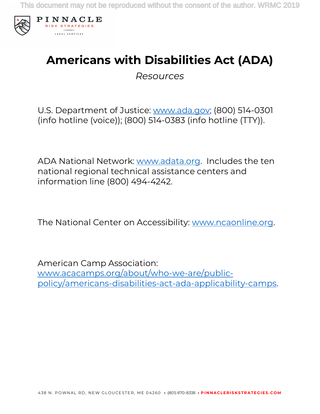

# **Americans with Disabilities Act (ADA)**

*Resources*

U.S. Department of Justice: www.ada.gov; (800) 514-0301 (info hotline (voice)); (800) 514-0383 (info hotline (TTY)).

ADA National Network: www.adata.org. Includes the ten national regional technical assistance centers and information line (800) 494-4242.

The National Center on Accessibility: www.ncaonline.org.

American Camp Association: www.acacamps.org/about/who-we-are/publicpolicy/americans-disabilities-act-ada-applicability-camps.